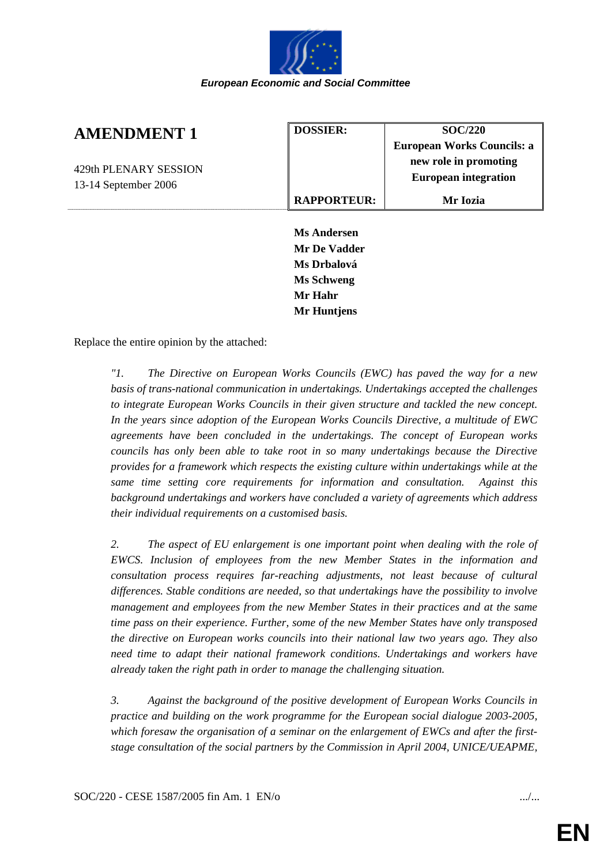

| <b>AMENDMENT 1</b>    | <b>DOSSIER:</b>    | SOC/220                     |
|-----------------------|--------------------|-----------------------------|
|                       |                    | European Works Councils: a  |
| 429th PLENARY SESSION |                    | new role in promoting       |
| 13-14 September 2006  |                    | <b>European integration</b> |
|                       | <b>RAPPORTEUR:</b> | Mr Iozia                    |
|                       |                    |                             |

**Ms Andersen Mr De Vadder Ms Drbalová Ms Schweng Mr Hahr Mr Huntjens** 

Replace the entire opinion by the attached:

*"1. The Directive on European Works Councils (EWC) has paved the way for a new basis of trans-national communication in undertakings. Undertakings accepted the challenges to integrate European Works Councils in their given structure and tackled the new concept. In the years since adoption of the European Works Councils Directive, a multitude of EWC agreements have been concluded in the undertakings. The concept of European works councils has only been able to take root in so many undertakings because the Directive provides for a framework which respects the existing culture within undertakings while at the same time setting core requirements for information and consultation. Against this background undertakings and workers have concluded a variety of agreements which address their individual requirements on a customised basis.* 

*2. The aspect of EU enlargement is one important point when dealing with the role of EWCS. Inclusion of employees from the new Member States in the information and consultation process requires far-reaching adjustments, not least because of cultural differences. Stable conditions are needed, so that undertakings have the possibility to involve management and employees from the new Member States in their practices and at the same time pass on their experience. Further, some of the new Member States have only transposed the directive on European works councils into their national law two years ago. They also need time to adapt their national framework conditions. Undertakings and workers have already taken the right path in order to manage the challenging situation.* 

*3. Against the background of the positive development of European Works Councils in practice and building on the work programme for the European social dialogue 2003-2005, which foresaw the organisation of a seminar on the enlargement of EWCs and after the firststage consultation of the social partners by the Commission in April 2004, UNICE/UEAPME,*